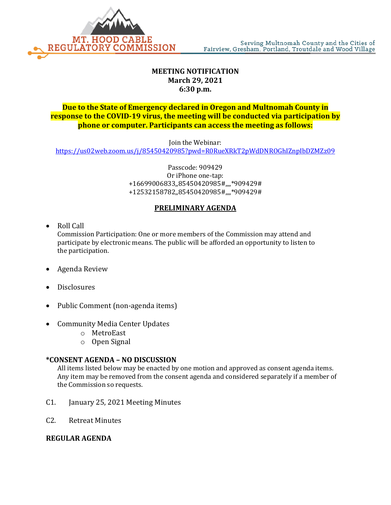

## **MEETING NOTIFICATION March 29, 2021 6:30 p.m.**

## **Due to the State of Emergency declared in Oregon and Multnomah County in response to the COVID-19 virus, the meeting will be conducted via participation by phone or computer. Participants can access the meeting as follows:**

Join the Webinar:

<https://us02web.zoom.us/j/85450420985?pwd=R0RueXRkT2pWdDNROGhIZnpIbDZMZz09>

Passcode: 909429 Or iPhone one-tap: +16699006833,,85450420985#,,,,\*909429# +12532158782,,85450420985#,,,,\*909429#

### **PRELIMINARY AGENDA**

• Roll Call

Commission Participation: One or more members of the Commission may attend and participate by electronic means. The public will be afforded an opportunity to listen to the participation.

- Agenda Review
- Disclosures
- Public Comment (non-agenda items)
- Community Media Center Updates
	- o MetroEast
	- o Open Signal

#### **\*CONSENT AGENDA – NO DISCUSSION**

All items listed below may be enacted by one motion and approved as consent agenda items. Any item may be removed from the consent agenda and considered separately if a member of the Commission so requests.

- C1. January 25, 2021 Meeting Minutes
- C2. Retreat Minutes

#### **REGULAR AGENDA**